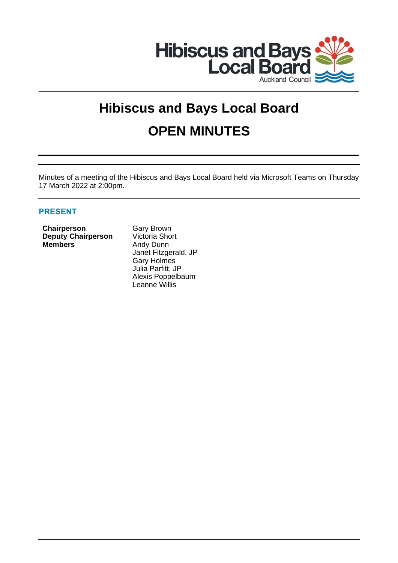

# **Hibiscus and Bays Local Board OPEN MINUTES**

Minutes of a meeting of the Hibiscus and Bays Local Board held via Microsoft Teams on Thursday 17 March 2022 at 2:00pm.

# **PRESENT**

**Chairperson** Gary Brown **Deputy Chairperson** Victoria Short **Members** Andy Dunn

Janet Fitzgerald, JP Gary Holmes Julia Parfitt, JP Alexis Poppelbaum Leanne Willis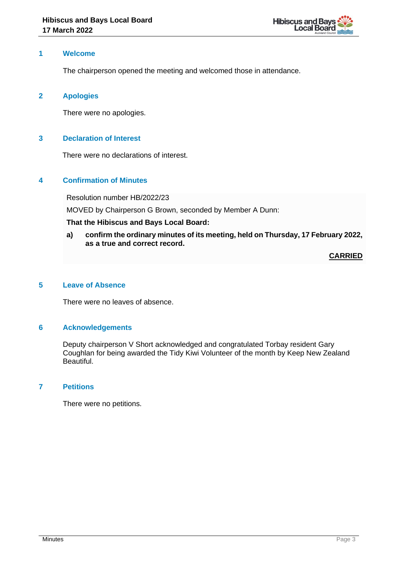

## **1 Welcome**

The chairperson opened the meeting and welcomed those in attendance.

## **2 Apologies**

There were no apologies.

#### **3 Declaration of Interest**

There were no declarations of interest.

# **4 Confirmation of Minutes**

Resolution number HB/2022/23

MOVED by Chairperson G Brown, seconded by Member A Dunn:

#### **That the Hibiscus and Bays Local Board:**

**a) confirm the ordinary minutes of its meeting, held on Thursday, 17 February 2022, as a true and correct record.**

**CARRIED**

# **5 Leave of Absence**

There were no leaves of absence.

#### **6 Acknowledgements**

Deputy chairperson V Short acknowledged and congratulated Torbay resident Gary Coughlan for being awarded the Tidy Kiwi Volunteer of the month by Keep New Zealand Beautiful.

# **7 Petitions**

There were no petitions.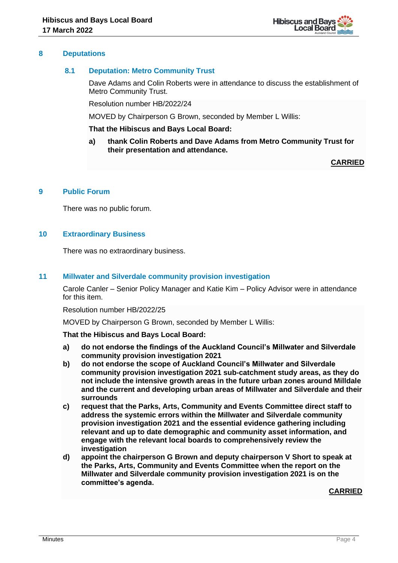#### **8 Deputations**

#### **8.1 Deputation: Metro Community Trust**

Dave Adams and Colin Roberts were in attendance to discuss the establishment of Metro Community Trust.

Resolution number HB/2022/24

MOVED by Chairperson G Brown, seconded by Member L Willis:

#### **That the Hibiscus and Bays Local Board:**

**a) thank Colin Roberts and Dave Adams from Metro Community Trust for their presentation and attendance.**

**CARRIED**

#### **9 Public Forum**

There was no public forum.

## **10 Extraordinary Business**

There was no extraordinary business.

#### **11 Millwater and Silverdale community provision investigation**

Carole Canler – Senior Policy Manager and Katie Kim – Policy Advisor were in attendance for this item.

Resolution number HB/2022/25

MOVED by Chairperson G Brown, seconded by Member L Willis:

**That the Hibiscus and Bays Local Board:**

- **a) do not endorse the findings of the Auckland Council's Millwater and Silverdale community provision investigation 2021**
- **b) do not endorse the scope of Auckland Council's Millwater and Silverdale community provision investigation 2021 sub-catchment study areas, as they do not include the intensive growth areas in the future urban zones around Milldale and the current and developing urban areas of Millwater and Silverdale and their surrounds**
- **c) request that the Parks, Arts, Community and Events Committee direct staff to address the systemic errors within the Millwater and Silverdale community provision investigation 2021 and the essential evidence gathering including relevant and up to date demographic and community asset information, and engage with the relevant local boards to comprehensively review the investigation**
- **d) appoint the chairperson G Brown and deputy chairperson V Short to speak at the Parks, Arts, Community and Events Committee when the report on the Millwater and Silverdale community provision investigation 2021 is on the committee's agenda.**

**CARRIED**

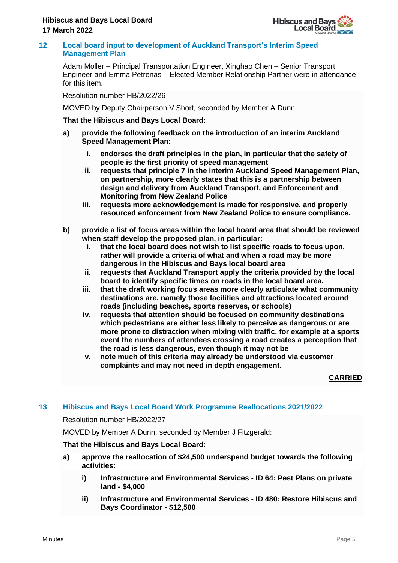

#### **12 Local board input to development of Auckland Transport's Interim Speed Management Plan**

Adam Moller – Principal Transportation Engineer, Xinghao Chen – Senior Transport Engineer and Emma Petrenas – Elected Member Relationship Partner were in attendance for this item.

Resolution number HB/2022/26

MOVED by Deputy Chairperson V Short, seconded by Member A Dunn:

**That the Hibiscus and Bays Local Board:**

- **a) provide the following feedback on the introduction of an interim Auckland Speed Management Plan:**
	- **i. endorses the draft principles in the plan, in particular that the safety of people is the first priority of speed management**
	- **ii. requests that principle 7 in the interim Auckland Speed Management Plan, on partnership, more clearly states that this is a partnership between design and delivery from Auckland Transport, and Enforcement and Monitoring from New Zealand Police**
	- **iii. requests more acknowledgement is made for responsive, and properly resourced enforcement from New Zealand Police to ensure compliance.**
- **b) provide a list of focus areas within the local board area that should be reviewed when staff develop the proposed plan, in particular:** 
	- **i. that the local board does not wish to list specific roads to focus upon, rather will provide a criteria of what and when a road may be more dangerous in the Hibiscus and Bays local board area**
	- **ii. requests that Auckland Transport apply the criteria provided by the local board to identify specific times on roads in the local board area.**
	- **iii. that the draft working focus areas more clearly articulate what community destinations are, namely those facilities and attractions located around roads (including beaches, sports reserves, or schools)**
	- **iv. requests that attention should be focused on community destinations which pedestrians are either less likely to perceive as dangerous or are more prone to distraction when mixing with traffic, for example at a sports event the numbers of attendees crossing a road creates a perception that the road is less dangerous, even though it may not be**
	- **v. note much of this criteria may already be understood via customer complaints and may not need in depth engagement.**

**CARRIED**

# **13 Hibiscus and Bays Local Board Work Programme Reallocations 2021/2022**

Resolution number HB/2022/27

MOVED by Member A Dunn, seconded by Member J Fitzgerald:

# **That the Hibiscus and Bays Local Board:**

- **a) approve the reallocation of \$24,500 underspend budget towards the following activities:**
	- **i) Infrastructure and Environmental Services - ID 64: Pest Plans on private land - \$4,000**
	- **ii) Infrastructure and Environmental Services - ID 480: Restore Hibiscus and Bays Coordinator - \$12,500**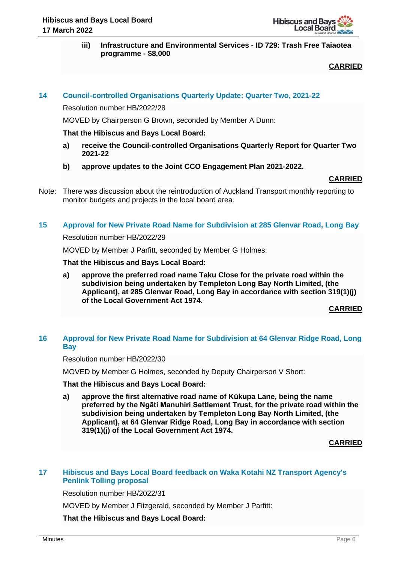**iii) Infrastructure and Environmental Services - ID 729: Trash Free Taiaotea programme - \$8,000**

# **CARRIED**

# **14 Council-controlled Organisations Quarterly Update: Quarter Two, 2021-22**

Resolution number HB/2022/28

MOVED by Chairperson G Brown, seconded by Member A Dunn:

#### **That the Hibiscus and Bays Local Board:**

- **a) receive the Council-controlled Organisations Quarterly Report for Quarter Two 2021-22**
- **b) approve updates to the Joint CCO Engagement Plan 2021-2022.**

#### **CARRIED**

Note: There was discussion about the reintroduction of Auckland Transport monthly reporting to monitor budgets and projects in the local board area.

#### **15 Approval for New Private Road Name for Subdivision at 285 Glenvar Road, Long Bay**

#### Resolution number HB/2022/29

MOVED by Member J Parfitt, seconded by Member G Holmes:

#### **That the Hibiscus and Bays Local Board:**

**a) approve the preferred road name Taku Close for the private road within the subdivision being undertaken by Templeton Long Bay North Limited, (the Applicant), at 285 Glenvar Road, Long Bay in accordance with section 319(1)(j) of the Local Government Act 1974.**

**CARRIED**

# **16 Approval for New Private Road Name for Subdivision at 64 Glenvar Ridge Road, Long Bay**

Resolution number HB/2022/30

MOVED by Member G Holmes, seconded by Deputy Chairperson V Short:

**That the Hibiscus and Bays Local Board:**

**a) approve the first alternative road name of Kūkupa Lane, being the name preferred by the Ngāti Manuhiri Settlement Trust, for the private road within the subdivision being undertaken by Templeton Long Bay North Limited, (the Applicant), at 64 Glenvar Ridge Road, Long Bay in accordance with section 319(1)(j) of the Local Government Act 1974.**

**CARRIED**

# **17 Hibiscus and Bays Local Board feedback on Waka Kotahi NZ Transport Agency's Penlink Tolling proposal**

Resolution number HB/2022/31

MOVED by Member J Fitzgerald, seconded by Member J Parfitt:

**That the Hibiscus and Bays Local Board:**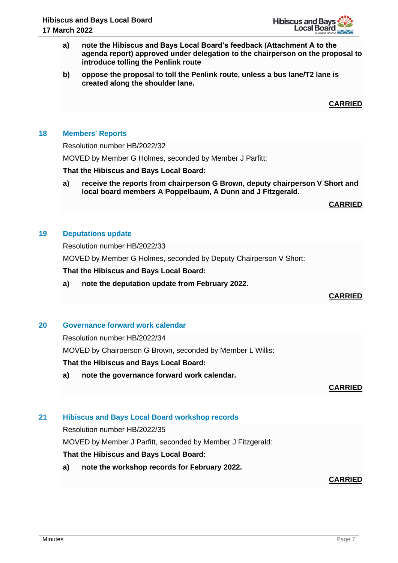

- **a) note the Hibiscus and Bays Local Board's feedback (Attachment A to the agenda report) approved under delegation to the chairperson on the proposal to introduce tolling the Penlink route**
- **b) oppose the proposal to toll the Penlink route, unless a bus lane/T2 lane is created along the shoulder lane.**

**CARRIED**

#### **18 Members' Reports**

Resolution number HB/2022/32

MOVED by Member G Holmes, seconded by Member J Parfitt:

#### **That the Hibiscus and Bays Local Board:**

**a) receive the reports from chairperson G Brown, deputy chairperson V Short and local board members A Poppelbaum, A Dunn and J Fitzgerald.**

#### **CARRIED**

#### **19 Deputations update**

Resolution number HB/2022/33

MOVED by Member G Holmes, seconded by Deputy Chairperson V Short:

**That the Hibiscus and Bays Local Board:**

**a) note the deputation update from February 2022.**

# **CARRIED**

#### **20 Governance forward work calendar**

Resolution number HB/2022/34

MOVED by Chairperson G Brown, seconded by Member L Willis:

#### **That the Hibiscus and Bays Local Board:**

**a) note the governance forward work calendar.**

**CARRIED**

# **21 Hibiscus and Bays Local Board workshop records**

Resolution number HB/2022/35

MOVED by Member J Parfitt, seconded by Member J Fitzgerald:

# **That the Hibiscus and Bays Local Board:**

**a) note the workshop records for February 2022.**

# **CARRIED**